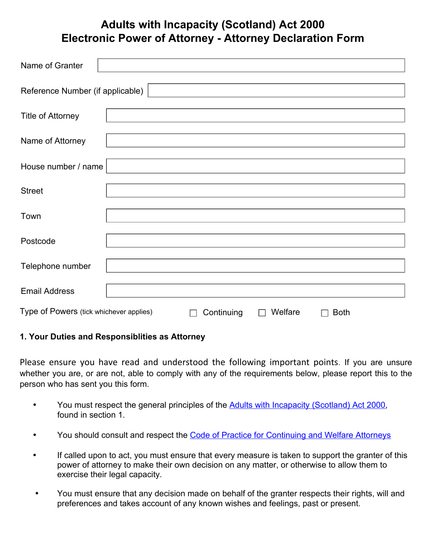## **Adults with Incapacity (Scotland) Act 2000 Electronic Power of Attorney - Attorney Declaration Form**

| Name of Granter                                                                      |  |  |
|--------------------------------------------------------------------------------------|--|--|
| Reference Number (if applicable)                                                     |  |  |
| Title of Attorney                                                                    |  |  |
| Name of Attorney                                                                     |  |  |
| House number / name                                                                  |  |  |
| <b>Street</b>                                                                        |  |  |
| Town                                                                                 |  |  |
| Postcode                                                                             |  |  |
| Telephone number                                                                     |  |  |
| <b>Email Address</b>                                                                 |  |  |
| Type of Powers (tick whichever applies)<br>Welfare<br>Continuing<br><b>Both</b><br>L |  |  |

## **1. Your Duties and Responsiblities as Attorney**

Please ensure you have read and understood the following important points. If you are unsure whether you are, or are not, able to comply with any of the requirements below, please report this to the person who has sent you this form.

- You must respect the general principles of the **[Adults with Incapacity \(Scotland\) Act 2000](http://www.publicguardian-scotland.gov.uk/adults-with-incapacity-(scotland)-act)**, found in section 1.
- You should consult and respect the [Code of Practice for Continuing and Welfare Attorneys](http://www.publicguardian-scotland.gov.uk/power-of-attorney/registration/acting-as-an-attorney)
- If called upon to act, you must ensure that every measure is taken to support the granter of this power of attorney to make their own decision on any matter, or otherwise to allow them to exercise their legal capacity.
- You must ensure that any decision made on behalf of the granter respects their rights, will and preferences and takes account of any known wishes and feelings, past or present.